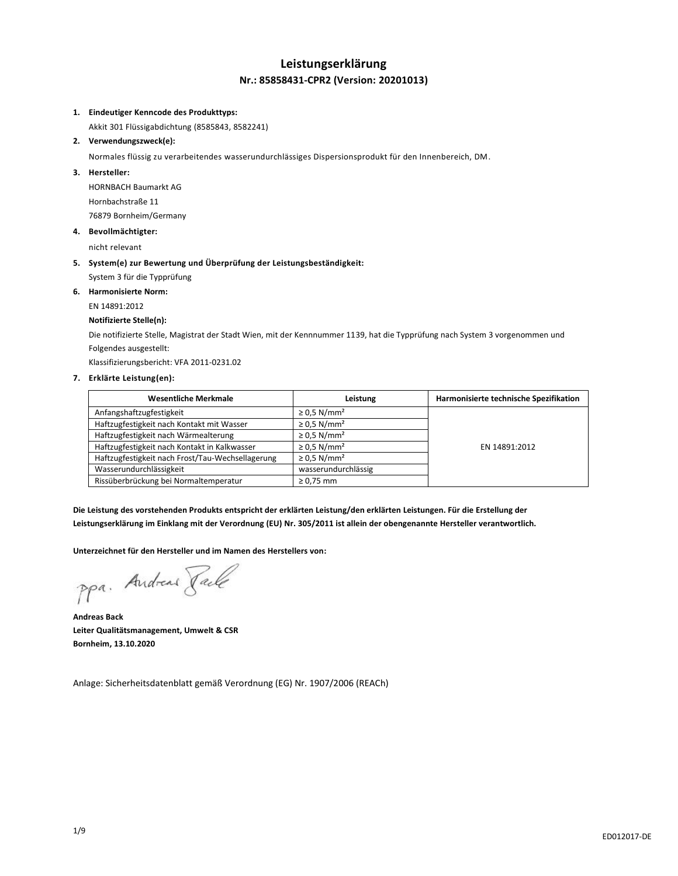## **Leistungserklärung Nr.: 85858431-CPR2 (Version: 20201013)**

#### **1. Eindeutiger Kenncode des Produkttyps:**

Akkit 301 Flüssigabdichtung (8585843, 8582241)

#### **2. Verwendungszweck(e):**

Normales flüssig zu verarbeitendes wasserundurchlässiges Dispersionsprodukt für den Innenbereich, DM.

#### **3. Hersteller:**

HORNBACH Baumarkt AG Hornbachstraße 11 76879 Bornheim/Germany

**4. Bevollmächtigter:**

nicht relevant

## **5. System(e) zur Bewertung und Überprüfung der Leistungsbeständigkeit:**

System 3 für die Typprüfung

## **6. Harmonisierte Norm:**

EN 14891:2012

#### **Notifizierte Stelle(n):**

Die notifizierte Stelle, Magistrat der Stadt Wien, mit der Kennnummer 1139, hat die Typprüfung nach System 3 vorgenommen und Folgendes ausgestellt:

Klassifizierungsbericht: VFA 2011-0231.02

## **7. Erklärte Leistung(en):**

| <b>Wesentliche Merkmale</b>                      | Leistung                     | Harmonisierte technische Spezifikation |
|--------------------------------------------------|------------------------------|----------------------------------------|
| Anfangshaftzugfestigkeit                         | $\geq$ 0.5 N/mm <sup>2</sup> |                                        |
| Haftzugfestigkeit nach Kontakt mit Wasser        | $\geq$ 0.5 N/mm <sup>2</sup> |                                        |
| Haftzugfestigkeit nach Wärmealterung             | $\geq$ 0.5 N/mm <sup>2</sup> |                                        |
| Haftzugfestigkeit nach Kontakt in Kalkwasser     | $\geq$ 0.5 N/mm <sup>2</sup> | EN 14891:2012                          |
| Haftzugfestigkeit nach Frost/Tau-Wechsellagerung | $\geq$ 0.5 N/mm <sup>2</sup> |                                        |
| Wasserundurchlässigkeit                          | wasserundurchlässig          |                                        |
| Rissüberbrückung bei Normaltemperatur            | $\geq 0.75$ mm               |                                        |

**Die Leistung des vorstehenden Produkts entspricht der erklärten Leistung/den erklärten Leistungen. Für die Erstellung der Leistungserklärung im Einklang mit der Verordnung (EU) Nr. 305/2011 ist allein der obengenannte Hersteller verantwortlich.**

**Unterzeichnet für den Hersteller und im Namen des Herstellers von:**

ppa. Andreas Pale

**Andreas Back Leiter Qualitätsmanagement, Umwelt & CSR Bornheim, 13.10.2020**

Anlage: Sicherheitsdatenblatt gemäß Verordnung (EG) Nr. 1907/2006 (REACh)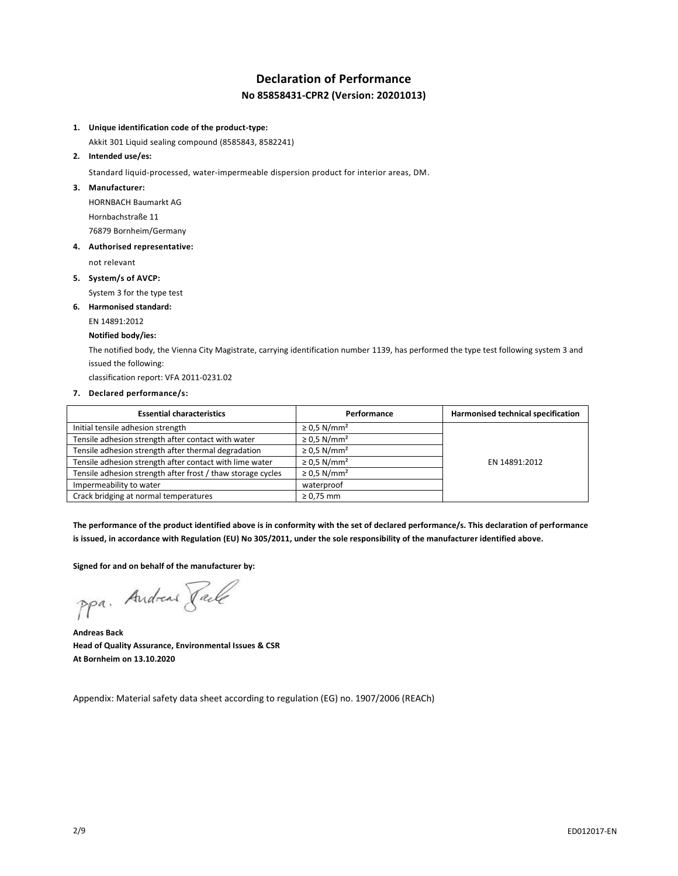## **Declaration of Performance No 85858431-CPR2 (Version: 20201013)**

### **1. Unique identification code of the product-type:**

Akkit 301 Liquid sealing compound (8585843, 8582241)

#### **2. Intended use/es:**

Standard liquid-processed, water-impermeable dispersion product for interior areas, DM.

#### **3. Manufacturer:**

HORNBACH Baumarkt AG Hornbachstraße 11 76879 Bornheim/Germany

#### **4. Authorised representative:**

not relevant

**5. System/s of AVCP:**

System 3 for the type test

## **6. Harmonised standard:**

EN 14891:2012

#### **Notified body/ies:**

The notified body, the Vienna City Magistrate, carrying identification number 1139, has performed the type test following system 3 and issued the following:

classification report: VFA 2011-0231.02

#### **7. Declared performance/s:**

| <b>Essential characteristics</b>                            | Performance                  | Harmonised technical specification |
|-------------------------------------------------------------|------------------------------|------------------------------------|
| Initial tensile adhesion strength                           | $\geq$ 0.5 N/mm <sup>2</sup> |                                    |
| Tensile adhesion strength after contact with water          | $\geq$ 0.5 N/mm <sup>2</sup> |                                    |
| Tensile adhesion strength after thermal degradation         | $\geq$ 0.5 N/mm <sup>2</sup> |                                    |
| Tensile adhesion strength after contact with lime water     | $\geq$ 0.5 N/mm <sup>2</sup> | EN 14891:2012                      |
| Tensile adhesion strength after frost / thaw storage cycles | $\geq$ 0.5 N/mm <sup>2</sup> |                                    |
| Impermeability to water                                     | waterproof                   |                                    |
| Crack bridging at normal temperatures                       | $\geq 0.75$ mm               |                                    |

**The performance of the product identified above is in conformity with the set of declared performance/s. This declaration of performance is issued, in accordance with Regulation (EU) No 305/2011, under the sole responsibility of the manufacturer identified above.**

#### **Signed for and on behalf of the manufacturer by:**

ppa. Andreas Pale

**Andreas Back Head of Quality Assurance, Environmental Issues & CSR At Bornheim on 13.10.2020**

Appendix: Material safety data sheet according to regulation (EG) no. 1907/2006 (REACh)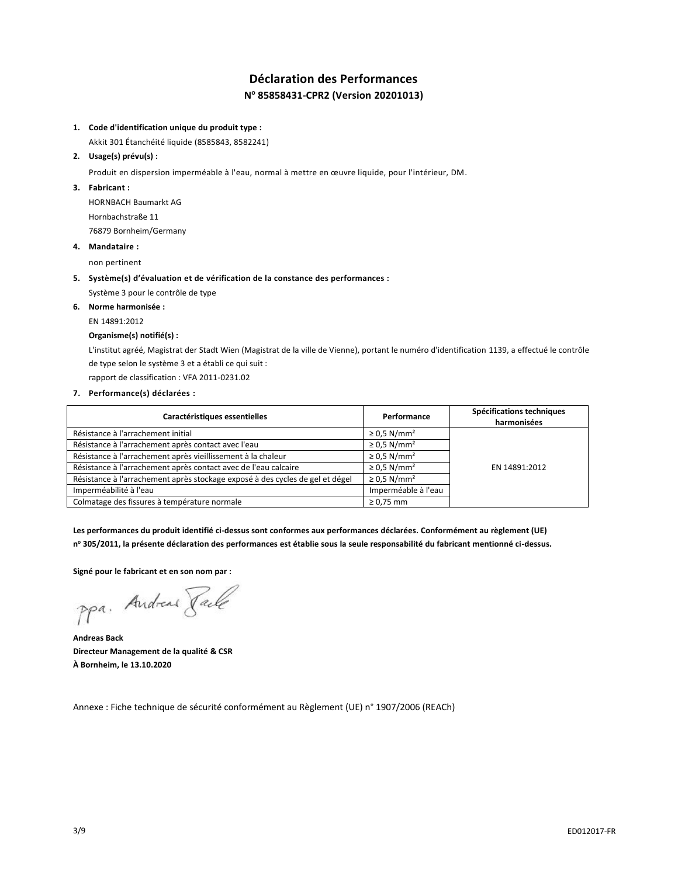## **Déclaration des Performances N <sup>o</sup> 85858431-CPR2 (Version 20201013)**

#### **1. Code d'identification unique du produit type :**

Akkit 301 Étanchéité liquide (8585843, 8582241)

### **2. Usage(s) prévu(s) :**

Produit en dispersion imperméable à l'eau, normal à mettre en œuvre liquide, pour l'intérieur, DM.

### **3. Fabricant :**

HORNBACH Baumarkt AG Hornbachstraße 11 76879 Bornheim/Germany

## **4. Mandataire :**

non pertinent

### **5. Système(s) d'évaluation et de vérification de la constance des performances :**

Système 3 pour le contrôle de type

### **6. Norme harmonisée :**

EN 14891:2012

### **Organisme(s) notifié(s) :**

L'institut agréé, Magistrat der Stadt Wien (Magistrat de la ville de Vienne), portant le numéro d'identification 1139, a effectué le contrôle de type selon le système 3 et a établi ce qui suit :

rapport de classification : VFA 2011-0231.02

#### **7. Performance(s) déclarées :**

| Caractéristiques essentielles                                                 | Performance                  | Spécifications techniques<br>harmonisées |
|-------------------------------------------------------------------------------|------------------------------|------------------------------------------|
| Résistance à l'arrachement initial                                            | $\geq$ 0.5 N/mm <sup>2</sup> |                                          |
| Résistance à l'arrachement après contact avec l'eau                           | $\geq$ 0.5 N/mm <sup>2</sup> |                                          |
| Résistance à l'arrachement après vieillissement à la chaleur                  | $\geq$ 0.5 N/mm <sup>2</sup> |                                          |
| Résistance à l'arrachement après contact avec de l'eau calcaire               | $\geq$ 0.5 N/mm <sup>2</sup> | EN 14891:2012                            |
| Résistance à l'arrachement après stockage exposé à des cycles de gel et dégel | $\geq$ 0.5 N/mm <sup>2</sup> |                                          |
| Imperméabilité à l'eau                                                        | Imperméable à l'eau          |                                          |
| Colmatage des fissures à température normale                                  | $\geq 0.75$ mm               |                                          |

**Les performances du produit identifié ci-dessus sont conformes aux performances déclarées. Conformément au règlement (UE) n <sup>o</sup> 305/2011, la présente déclaration des performances est établie sous la seule responsabilité du fabricant mentionné ci-dessus.**

**Signé pour le fabricant et en son nom par :**

ppa. Andreas Pale

**Andreas Back Directeur Management de la qualité & CSR À Bornheim, le 13.10.2020**

Annexe : Fiche technique de sécurité conformément au Règlement (UE) n° 1907/2006 (REACh)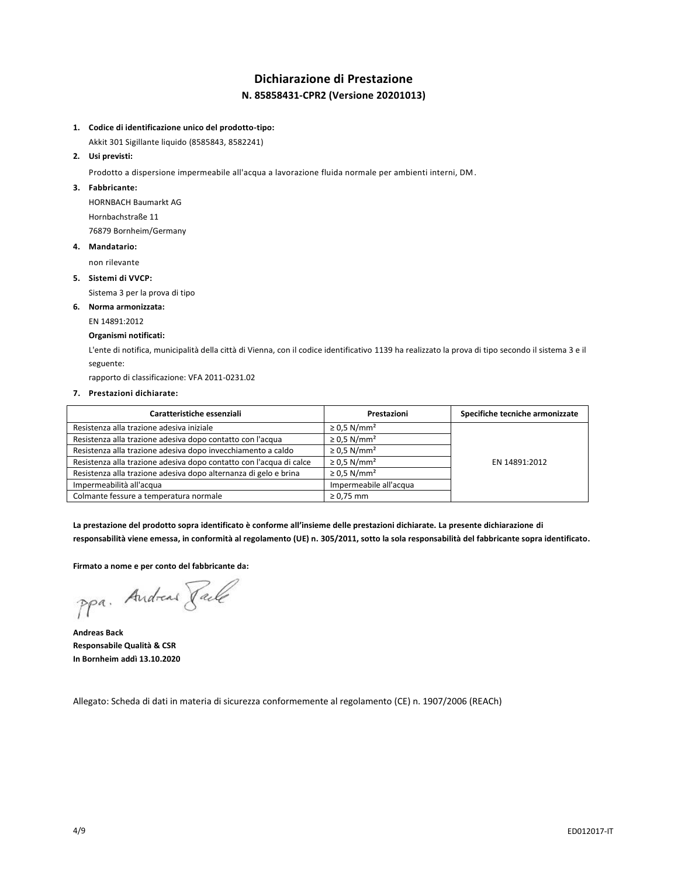## **Dichiarazione di Prestazione N. 85858431-CPR2 (Versione 20201013)**

### **1. Codice di identificazione unico del prodotto-tipo:**

Akkit 301 Sigillante liquido (8585843, 8582241)

### **2. Usi previsti:**

Prodotto a dispersione impermeabile all'acqua a lavorazione fluida normale per ambienti interni, DM.

### **3. Fabbricante:**

HORNBACH Baumarkt AG Hornbachstraße 11 76879 Bornheim/Germany

#### **4. Mandatario:**

non rilevante

#### **5. Sistemi di VVCP:**

Sistema 3 per la prova di tipo

#### **6. Norma armonizzata:**

EN 14891:2012

#### **Organismi notificati:**

L'ente di notifica, municipalità della città di Vienna, con il codice identificativo 1139 ha realizzato la prova di tipo secondo il sistema 3 e il seguente:

rapporto di classificazione: VFA 2011-0231.02

#### **7. Prestazioni dichiarate:**

| Caratteristiche essenziali                                          | Prestazioni                  | Specifiche tecniche armonizzate |
|---------------------------------------------------------------------|------------------------------|---------------------------------|
| Resistenza alla trazione adesiva iniziale                           | $\geq$ 0.5 N/mm <sup>2</sup> |                                 |
| Resistenza alla trazione adesiva dopo contatto con l'acqua          | $\geq$ 0.5 N/mm <sup>2</sup> |                                 |
| Resistenza alla trazione adesiva dopo invecchiamento a caldo        | $\geq$ 0.5 N/mm <sup>2</sup> |                                 |
| Resistenza alla trazione adesiva dopo contatto con l'acqua di calce | $\geq$ 0.5 N/mm <sup>2</sup> | EN 14891:2012                   |
| Resistenza alla trazione adesiva dopo alternanza di gelo e brina    | $\geq$ 0.5 N/mm <sup>2</sup> |                                 |
| Impermeabilità all'acqua                                            | Impermeabile all'acqua       |                                 |
| Colmante fessure a temperatura normale                              | $\geq 0.75$ mm               |                                 |

**La prestazione del prodotto sopra identificato è conforme all'insieme delle prestazioni dichiarate. La presente dichiarazione di responsabilità viene emessa, in conformità al regolamento (UE) n. 305/2011, sotto la sola responsabilità del fabbricante sopra identificato.**

#### **Firmato a nome e per conto del fabbricante da:**

ppa. Andreas Faile

**Andreas Back Responsabile Qualità & CSR In Bornheim addì 13.10.2020**

Allegato: Scheda di dati in materia di sicurezza conformemente al regolamento (CE) n. 1907/2006 (REACh)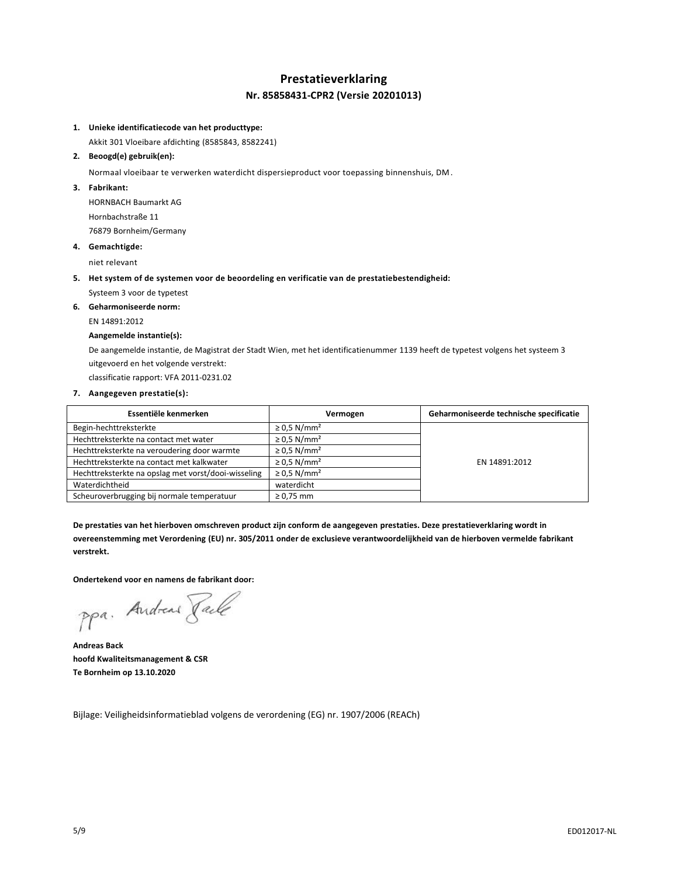## **Prestatieverklaring Nr. 85858431-CPR2 (Versie 20201013)**

#### **1. Unieke identificatiecode van het producttype:**

Akkit 301 Vloeibare afdichting (8585843, 8582241)

#### **2. Beoogd(e) gebruik(en):**

Normaal vloeibaar te verwerken waterdicht dispersieproduct voor toepassing binnenshuis, DM.

**3. Fabrikant:**

HORNBACH Baumarkt AG Hornbachstraße 11 76879 Bornheim/Germany

#### **4. Gemachtigde:**

niet relevant

**5. Het system of de systemen voor de beoordeling en verificatie van de prestatiebestendigheid:**

Systeem 3 voor de typetest

**6. Geharmoniseerde norm:** EN 14891:2012

## **Aangemelde instantie(s):**

De aangemelde instantie, de Magistrat der Stadt Wien, met het identificatienummer 1139 heeft de typetest volgens het systeem 3 uitgevoerd en het volgende verstrekt:

classificatie rapport: VFA 2011-0231.02

#### **7. Aangegeven prestatie(s):**

| Essentiële kenmerken                                | Vermogen                     | Geharmoniseerde technische specificatie |
|-----------------------------------------------------|------------------------------|-----------------------------------------|
| Begin-hechttreksterkte                              | $\geq$ 0.5 N/mm <sup>2</sup> |                                         |
| Hechttreksterkte na contact met water               | $\geq$ 0.5 N/mm <sup>2</sup> |                                         |
| Hechttreksterkte na veroudering door warmte         | $\geq$ 0.5 N/mm <sup>2</sup> |                                         |
| Hechttreksterkte na contact met kalkwater           | $\geq$ 0.5 N/mm <sup>2</sup> | EN 14891:2012                           |
| Hechttreksterkte na opslag met vorst/dooi-wisseling | $\geq$ 0.5 N/mm <sup>2</sup> |                                         |
| Waterdichtheid                                      | waterdicht                   |                                         |
| Scheuroverbrugging bij normale temperatuur          | $\geq$ 0.75 mm               |                                         |

**De prestaties van het hierboven omschreven product zijn conform de aangegeven prestaties. Deze prestatieverklaring wordt in overeenstemming met Verordening (EU) nr. 305/2011 onder de exclusieve verantwoordelijkheid van de hierboven vermelde fabrikant verstrekt.**

#### **Ondertekend voor en namens de fabrikant door:**

ppa. Andreas Faile

**Andreas Back hoofd Kwaliteitsmanagement & CSR Te Bornheim op 13.10.2020**

Bijlage: Veiligheidsinformatieblad volgens de verordening (EG) nr. 1907/2006 (REACh)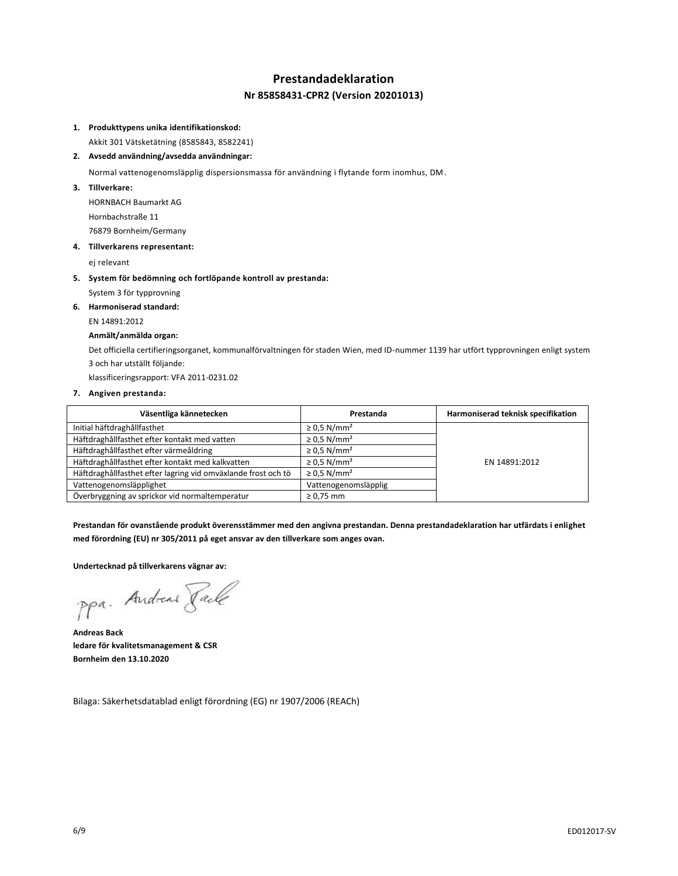## **Prestandadeklaration Nr 85858431-CPR2 (Version 20201013)**

#### **1. Produkttypens unika identifikationskod:**

Akkit 301 Vätsketätning (8585843, 8582241)

#### **2. Avsedd användning/avsedda användningar:**

Normal vattenogenomsläpplig dispersionsmassa för användning i flytande form inomhus, DM.

**3. Tillverkare:**

HORNBACH Baumarkt AG Hornbachstraße 11 76879 Bornheim/Germany

#### **4. Tillverkarens representant:**

ej relevant

**5. System för bedömning och fortlöpande kontroll av prestanda:**

System 3 för typprovning

#### **6. Harmoniserad standard:**

EN 14891:2012

#### **Anmält/anmälda organ:**

Det officiella certifieringsorganet, kommunalförvaltningen för staden Wien, med ID-nummer 1139 har utfört typprovningen enligt system 3 och har utställt följande:

klassificeringsrapport: VFA 2011-0231.02

#### **7. Angiven prestanda:**

| Väsentliga kännetecken                                        | Prestanda                    | Harmoniserad teknisk specifikation |
|---------------------------------------------------------------|------------------------------|------------------------------------|
| Initial häftdraghållfasthet                                   | $\geq$ 0.5 N/mm <sup>2</sup> |                                    |
| Häftdraghållfasthet efter kontakt med vatten                  | $\geq$ 0.5 N/mm <sup>2</sup> |                                    |
| Häftdraghållfasthet efter värmeåldring                        | $\geq$ 0.5 N/mm <sup>2</sup> |                                    |
| Häftdraghållfasthet efter kontakt med kalkvatten              | $\geq$ 0.5 N/mm <sup>2</sup> | EN 14891:2012                      |
| Häftdraghållfasthet efter lagring vid omväxlande frost och tö | $\geq$ 0.5 N/mm <sup>2</sup> |                                    |
| Vattenogenomsläpplighet                                       | Vattenogenomsläpplig         |                                    |
| Överbryggning av sprickor vid normaltemperatur                | $\geq 0.75$ mm               |                                    |

**Prestandan för ovanstående produkt överensstämmer med den angivna prestandan. Denna prestandadeklaration har utfärdats i enlighet med förordning (EU) nr 305/2011 på eget ansvar av den tillverkare som anges ovan.**

**Undertecknad på tillverkarens vägnar av:**

ppa. Andreas Pale

**Andreas Back ledare för kvalitetsmanagement & CSR Bornheim den 13.10.2020**

Bilaga: Säkerhetsdatablad enligt förordning (EG) nr 1907/2006 (REACh)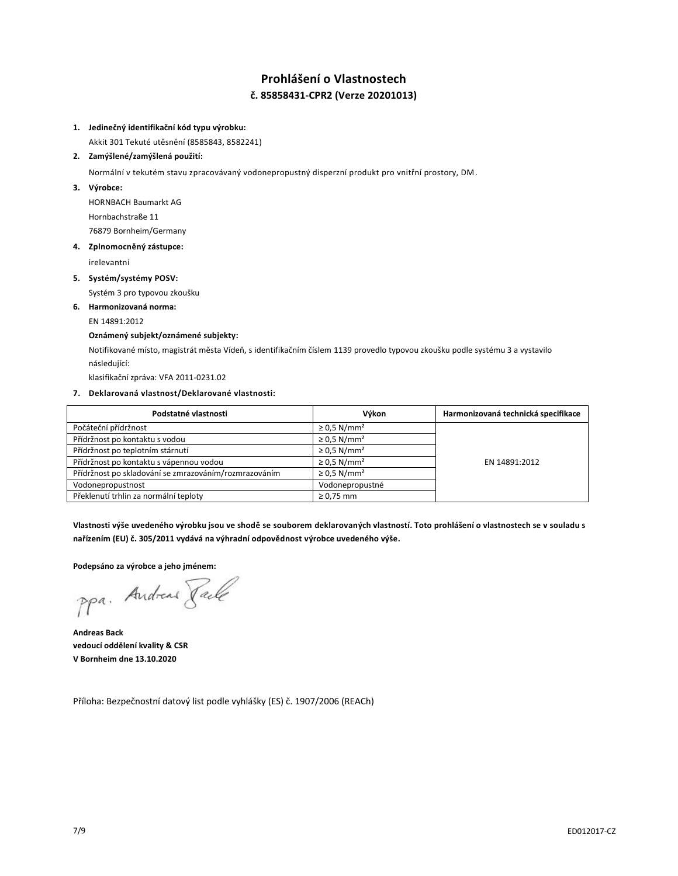## **Prohlášení o Vlastnostech č. 85858431-CPR2 (Verze 20201013)**

#### **1. Jedinečný identifikační kód typu výrobku:**

Akkit 301 Tekuté utěsnění (8585843, 8582241)

#### **2. Zamýšlené/zamýšlená použití:**

Normální v tekutém stavu zpracovávaný vodonepropustný disperzní produkt pro vnitřní prostory, DM.

**3. Výrobce:**

HORNBACH Baumarkt AG Hornbachstraße 11 76879 Bornheim/Germany

#### **4. Zplnomocněný zástupce:**

irelevantní

**5. Systém/systémy POSV:**

Systém 3 pro typovou zkoušku

**6. Harmonizovaná norma:**

## EN 14891:2012

## **Oznámený subjekt/oznámené subjekty:**

Notifikované místo, magistrát města Vídeň, s identifikačním číslem 1139 provedlo typovou zkoušku podle systému 3 a vystavilo následující:

klasifikační zpráva: VFA 2011-0231.02

#### **7. Deklarovaná vlastnost/Deklarované vlastnosti:**

| Podstatné vlastnosti                                  | Výkon                        | Harmonizovaná technická specifikace |
|-------------------------------------------------------|------------------------------|-------------------------------------|
| Počáteční přídržnost                                  | $\geq$ 0.5 N/mm <sup>2</sup> |                                     |
| Přídržnost po kontaktu s vodou                        | $\geq$ 0.5 N/mm <sup>2</sup> |                                     |
| Přídržnost po teplotním stárnutí                      | $\geq$ 0.5 N/mm <sup>2</sup> |                                     |
| Přídržnost po kontaktu s vápennou vodou               | $\geq$ 0.5 N/mm <sup>2</sup> | EN 14891:2012                       |
| Přídržnost po skladování se zmrazováním/rozmrazováním | $\geq$ 0.5 N/mm <sup>2</sup> |                                     |
| Vodonepropustnost                                     | Vodonepropustné              |                                     |
| Překlenutí trhlin za normální teploty                 | $\geq 0.75$ mm               |                                     |

**Vlastnosti výše uvedeného výrobku jsou ve shodě se souborem deklarovaných vlastností. Toto prohlášení o vlastnostech se v souladu s nařízením (EU) č. 305/2011 vydává na výhradní odpovědnost výrobce uvedeného výše.**

#### **Podepsáno za výrobce a jeho jménem:**

ppa. Andreas Faile

**Andreas Back vedoucí oddělení kvality & CSR V Bornheim dne 13.10.2020**

Příloha: Bezpečnostní datový list podle vyhlášky (ES) č. 1907/2006 (REACh)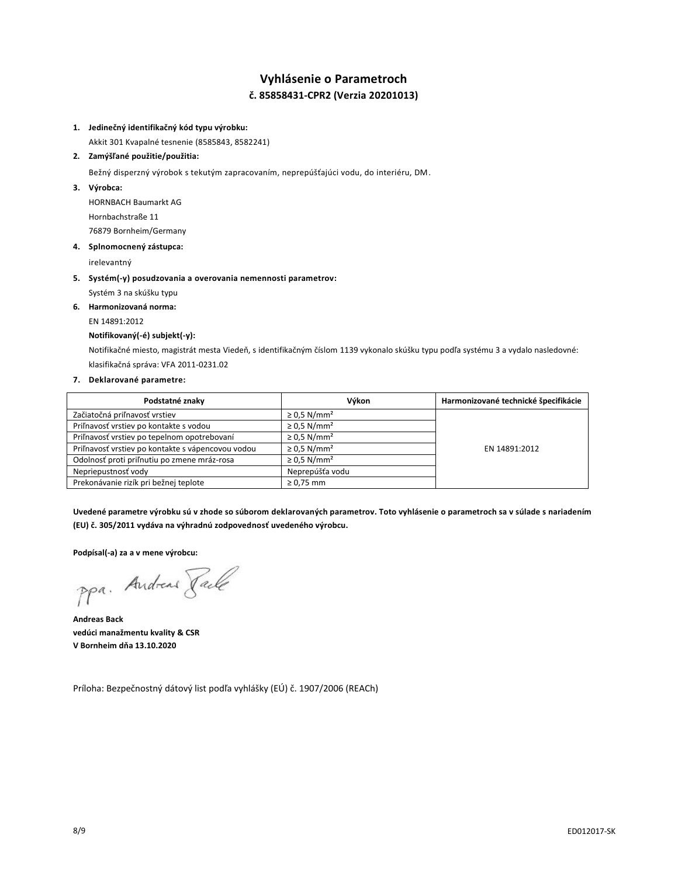## **Vyhlásenie o Parametroch č. 85858431-CPR2 (Verzia 20201013)**

#### **1. Jedinečný identifikačný kód typu výrobku:**

Akkit 301 Kvapalné tesnenie (8585843, 8582241)

#### **2. Zamýšľané použitie/použitia:**

Bežný disperzný výrobok s tekutým zapracovaním, neprepúšťajúci vodu, do interiéru, DM.

**3. Výrobca:**

HORNBACH Baumarkt AG Hornbachstraße 11 76879 Bornheim/Germany

#### **4. Splnomocnený zástupca:**

irelevantný

- **5. Systém(-y) posudzovania a overovania nemennosti parametrov:**
	- Systém 3 na skúšku typu
- **6. Harmonizovaná norma:**

# EN 14891:2012

## **Notifikovaný(-é) subjekt(-y):**

Notifikačné miesto, magistrát mesta Viedeň, s identifikačným číslom 1139 vykonalo skúšku typu podľa systému 3 a vydalo nasledovné: klasifikačná správa: VFA 2011-0231.02

### **7. Deklarované parametre:**

| Podstatné znaky                                   | Výkon                        | Harmonizované technické špecifikácie |
|---------------------------------------------------|------------------------------|--------------------------------------|
| Začiatočná priľnavosť vrstiev                     | $\geq$ 0.5 N/mm <sup>2</sup> |                                      |
| Priľnavosť vrstiev po kontakte s vodou            | $\geq$ 0.5 N/mm <sup>2</sup> |                                      |
| Priľnavosť vrstiev po tepelnom opotrebovaní       | $\geq$ 0.5 N/mm <sup>2</sup> |                                      |
| Priľnavosť vrstiev po kontakte s vápencovou vodou | $\geq$ 0.5 N/mm <sup>2</sup> | EN 14891:2012                        |
| Odolnosť proti priľnutiu po zmene mráz-rosa       | $\geq$ 0.5 N/mm <sup>2</sup> |                                      |
| Nepriepustnosť vody                               | Neprepúšťa vodu              |                                      |
| Prekonávanie rizík pri bežnej teplote             | $\geq 0.75$ mm               |                                      |

**Uvedené parametre výrobku sú v zhode so súborom deklarovaných parametrov. Toto vyhlásenie o parametroch sa v súlade s nariadením (EU) č. 305/2011 vydáva na výhradnú zodpovednosť uvedeného výrobcu.**

**Podpísal(-a) za a v mene výrobcu:**

ppa. Andreas Pale

**Andreas Back vedúci manažmentu kvality & CSR V Bornheim dňa 13.10.2020**

Príloha: Bezpečnostný dátový list podľa vyhlášky (EÚ) č. 1907/2006 (REACh)